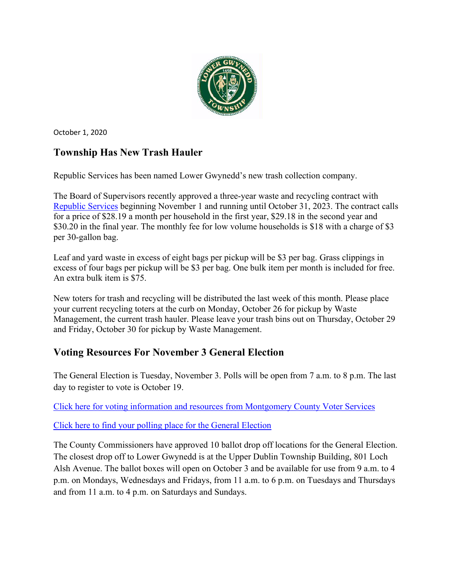

October 1, 2020

# **Township Has New Trash Hauler**

Republic Services has been named Lower Gwynedd's new trash collection company.

The Board of Supervisors recently approved a three-year waste and recycling contract with [Republic Services](https://www.republicservices.com/) beginning November 1 and running until October 31, 2023. The contract calls for a price of \$28.19 a month per household in the first year, \$29.18 in the second year and \$30.20 in the final year. The monthly fee for low volume households is \$18 with a charge of \$3 per 30-gallon bag.

Leaf and yard waste in excess of eight bags per pickup will be \$3 per bag. Grass clippings in excess of four bags per pickup will be \$3 per bag. One bulk item per month is included for free. An extra bulk item is \$75.

New toters for trash and recycling will be distributed the last week of this month. Please place your current recycling toters at the curb on Monday, October 26 for pickup by Waste Management, the current trash hauler. Please leave your trash bins out on Thursday, October 29 and Friday, October 30 for pickup by Waste Management.

# **Voting Resources For November 3 General Election**

The General Election is Tuesday, November 3. Polls will be open from 7 a.m. to 8 p.m. The last day to register to vote is October 19.

[Click here for voting information and resources from Montgomery County Voter Services](https://www.montcopa.org/753/Voter-Services)

[Click here to find your polling place for the General Election](https://www.montcopa.org/845/Where-Do-I-Vote)

The County Commissioners have approved 10 ballot drop off locations for the General Election. The closest drop off to Lower Gwynedd is at the Upper Dublin Township Building, 801 Loch Alsh Avenue. The ballot boxes will open on October 3 and be available for use from 9 a.m. to 4 p.m. on Mondays, Wednesdays and Fridays, from 11 a.m. to 6 p.m. on Tuesdays and Thursdays and from 11 a.m. to 4 p.m. on Saturdays and Sundays.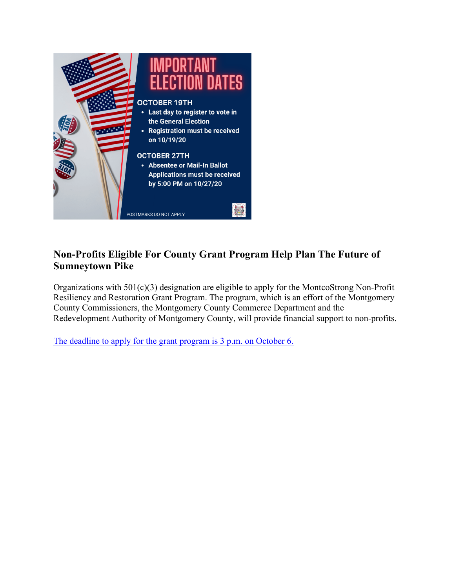

## **Non-Profits Eligible For County Grant Program Help Plan The Future of Sumneytown Pike**

Organizations with 501(c)(3) designation are eligible to apply for the MontcoStrong Non-Profit Resiliency and Restoration Grant Program. The program, which is an effort of the Montgomery County Commissioners, the Montgomery County Commerce Department and the Redevelopment Authority of Montgomery County, will provide financial support to non-profits.

[The deadline to apply for the grant program is 3 p.m. on October 6.](https://www.montcopa.org/MSNP)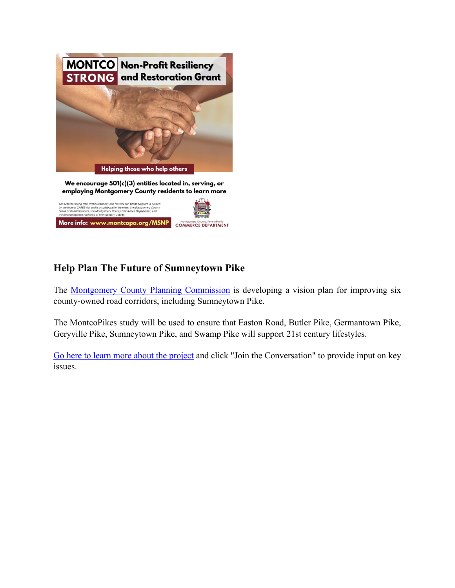

## **Help Plan The Future of Sumneytown Pike**

The [Montgomery County Planning Commission](https://www.montcopa.org/490/Planning-Commission) is developing a vision plan for improving six county-owned road corridors, including Sumneytown Pike.

Montgomery County, Pennsylvania<br>COMMERCE DEPARTMENT

The MontcoPikes study will be used to ensure that Easton Road, Butler Pike, Germantown Pike, Geryville Pike, Sumneytown Pike, and Swamp Pike will support 21st century lifestyles.

[Go here to learn more about the project](https://www.montcopa.org/montcopikes) and click "Join the Conversation" to provide input on key issues.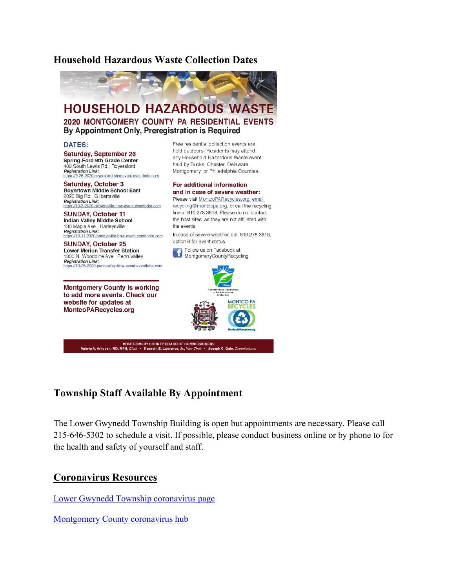#### **[Household Hazardous Waste Collection Dates](https://www.montcopa.org/706/Household-Hazardous-Waste-Collection-Pro)**



### **Township Staff Available By Appointment**

The Lower Gwynedd Township Building is open but appointments are necessary. Please call 215-646-5302 to schedule a visit. If possible, please conduct business online or by phone to for the health and safety of yourself and staff.

#### **Coronavirus Resources**

[Lower Gwynedd Township coronavirus page](https://www.lowergwynedd.org/general-information/covid-19-coronavirus.aspx)

[Montgomery County coronavirus hub](https://data-montcopa.opendata.arcgis.com/pages/covid-19)